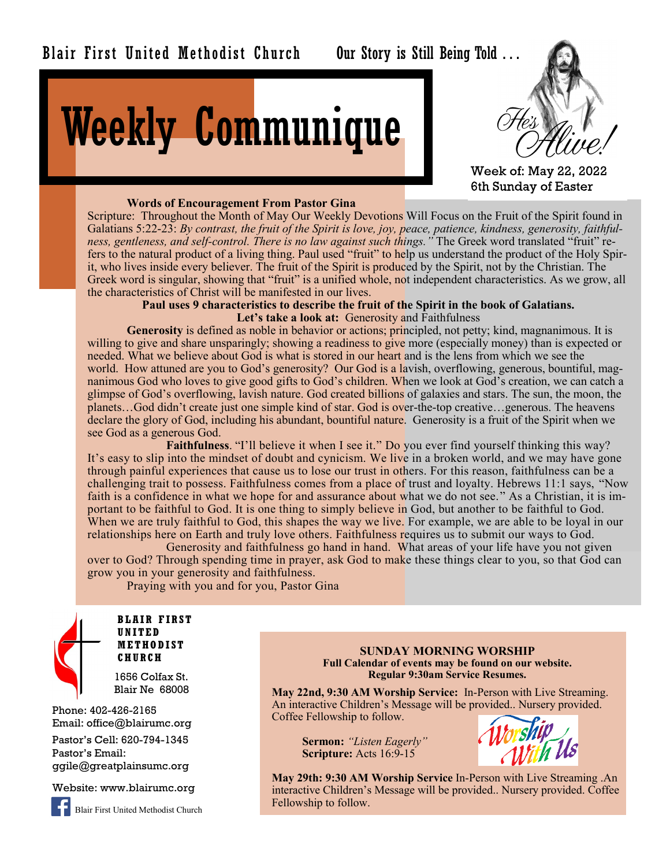Our Story is Still Being Told . . .

# Weekly Communique



Week of: May 22, 2022 6th Sunday of Easter

### **Words of Encouragement From Pastor Gina**

Scripture: Throughout the Month of May Our Weekly Devotions Will Focus on the Fruit of the Spirit found in Galatians 5:22-23: *By contrast, the fruit of the Spirit is love, joy, peace, patience, kindness, generosity, faithfulness, gentleness, and self-control. There is no law against such things."* The Greek word translated "fruit" refers to the natural product of a living thing. Paul used "fruit" to help us understand the product of the Holy Spirit, who lives inside every believer. The fruit of the Spirit is produced by the Spirit, not by the Christian. The Greek word is singular, showing that "fruit" is a unified whole, not independent characteristics. As we grow, all the characteristics of Christ will be manifested in our lives.

> **Paul uses 9 characteristics to describe the fruit of the Spirit in the book of Galatians. Let's take a look at:** Generosity and Faithfulness

**Generosity** is defined as noble in behavior or actions; principled, not petty; kind, magnanimous. It is willing to give and share unsparingly; showing a readiness to give more (especially money) than is expected or needed. What we believe about God is what is stored in our heart and is the lens from which we see the world. How attuned are you to God's generosity? Our God is a lavish, overflowing, generous, bountiful, magnanimous God who loves to give good gifts to God's children. When we look at God's creation, we can catch a glimpse of God's overflowing, lavish nature. God created billions of galaxies and stars. The sun, the moon, the planets…God didn't create just one simple kind of star. God is over-the-top creative…generous. The heavens declare the glory of God, including his abundant, bountiful nature. Generosity is a fruit of the Spirit when we see God as a generous God.

Faithfulness. "I'll believe it when I see it." Do you ever find yourself thinking this way? It's easy to slip into the mindset of doubt and cynicism. We live in a broken world, and we may have gone through painful experiences that cause us to lose our trust in others. For this reason, faithfulness can be a challenging trait to possess. Faithfulness comes from a place of trust and loyalty. Hebrews 11:1 says, "Now faith is a confidence in what we hope for and assurance about what we do not see." As a Christian, it is important to be faithful to God. It is one thing to simply believe in God, but another to be faithful to God. When we are truly faithful to God, this shapes the way we live. For example, we are able to be loyal in our relationships here on Earth and truly love others. Faithfulness requires us to submit our ways to God.

Generosity and faithfulness go hand in hand. What areas of your life have you not given over to God? Through spending time in prayer, ask God to make these things clear to you, so that God can grow you in your generosity and faithfulness.

Praying with you and for you, Pastor Gina



**BLAIR FIRST UNITED METHODIST CHURCH**

1656 Colfax St. Blair Ne 68008

Phone: 402-426-2165 Email: office@blairumc.org Pastor's Cell: 620-794-1345 Pastor's Email: ggile@greatplainsumc.org

Website: www.blairumc.org



Blair First United Methodist Church

**SUNDAY MORNING WORSHIP Full Calendar of events may be found on our website. Regular 9:30am Service Resumes.**

**May 22nd, 9:30 AM Worship Service:** In-Person with Live Streaming. An interactive Children's Message will be provided.. Nursery provided. Coffee Fellowship to follow.

**Sermon:** *"Listen Eagerly"* **Scripture:** Acts 16:9-15



**May 29th: 9:30 AM Worship Service** In-Person with Live Streaming .An interactive Children's Message will be provided.. Nursery provided. Coffee Fellowship to follow.